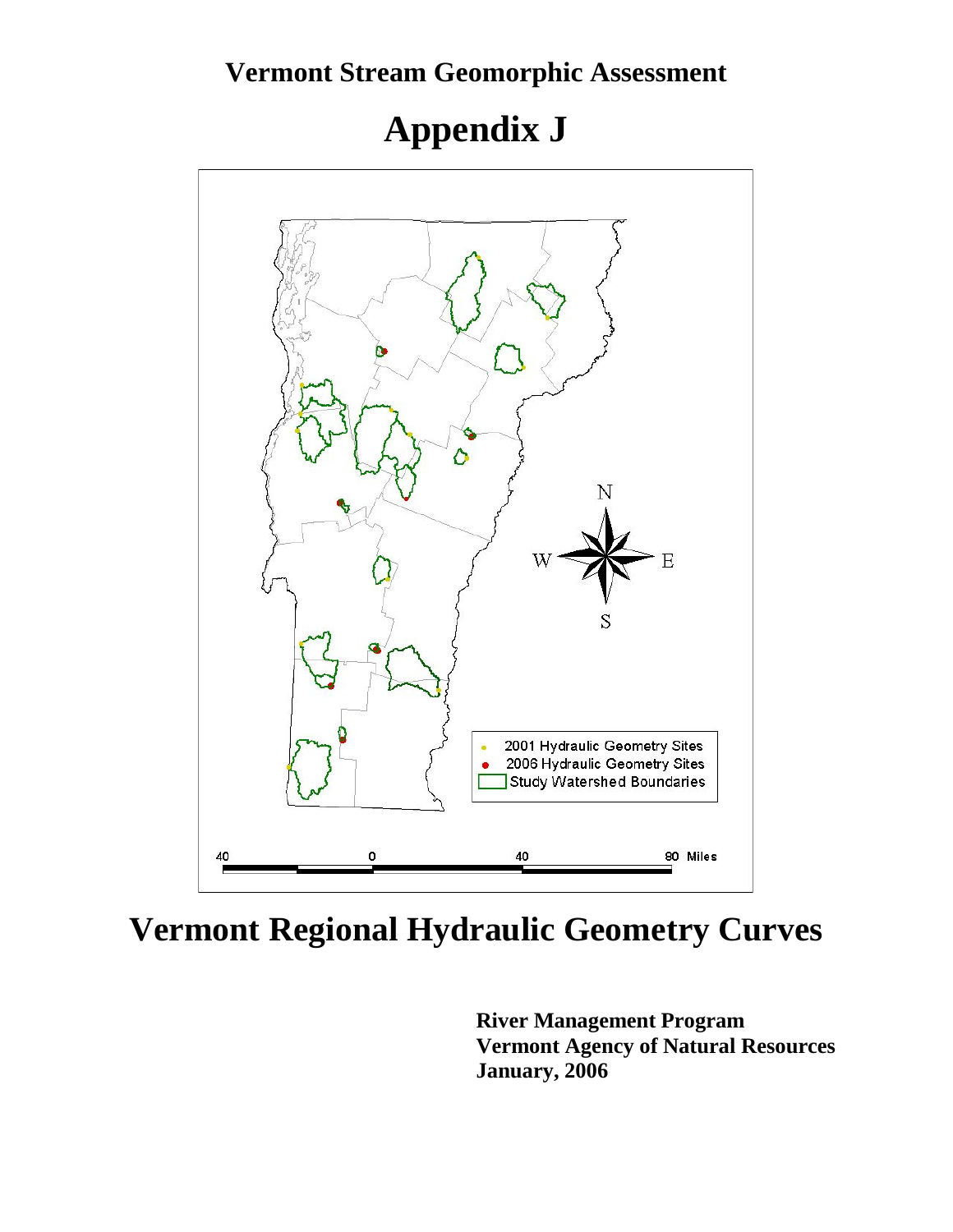### **Vermont Stream Geomorphic Assessment**

# **Appendix J**



## **Vermont Regional Hydraulic Geometry Curves**

**River Management Program Vermont Agency of Natural Resources January, 2006**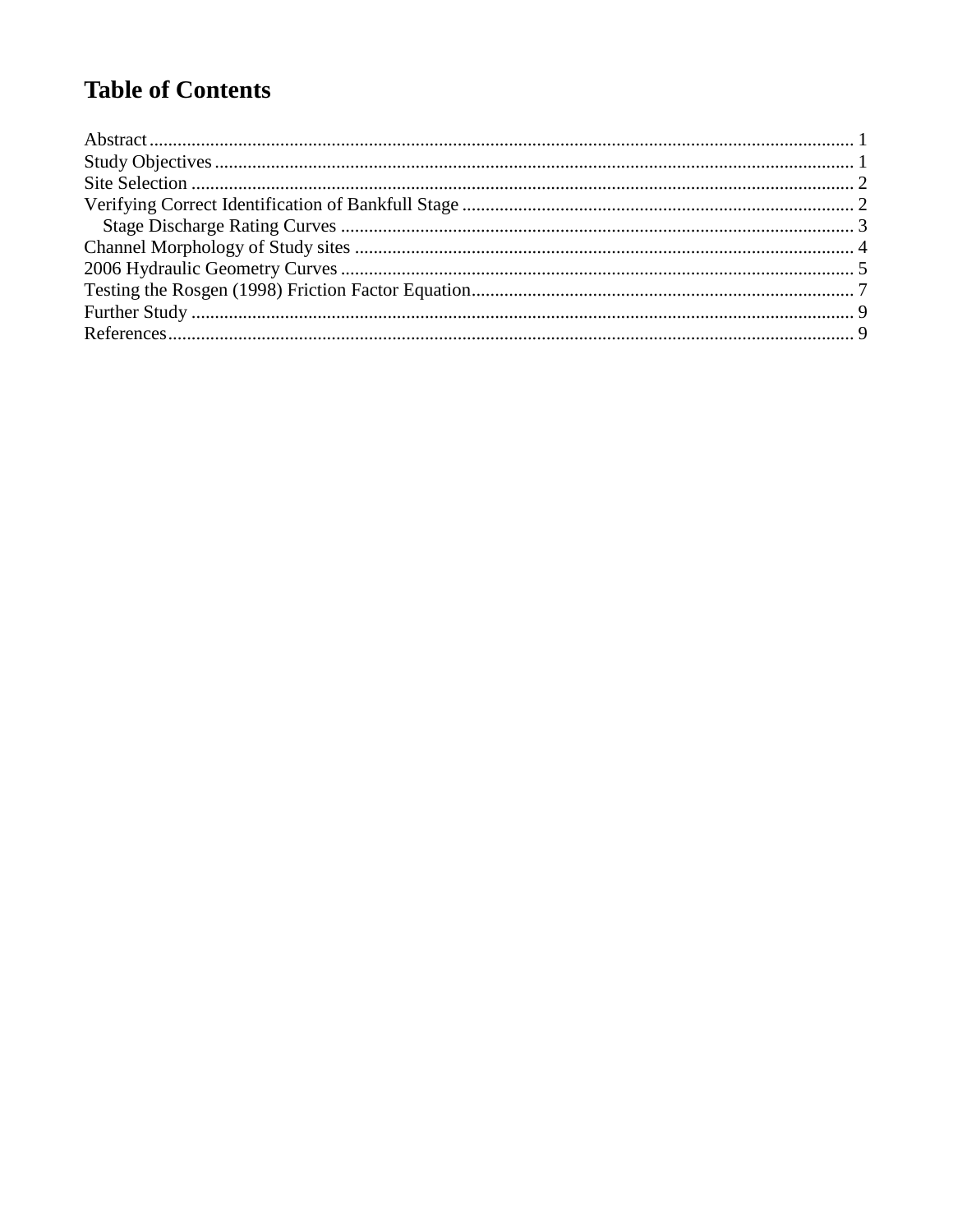### **Table of Contents**

<span id="page-1-0"></span>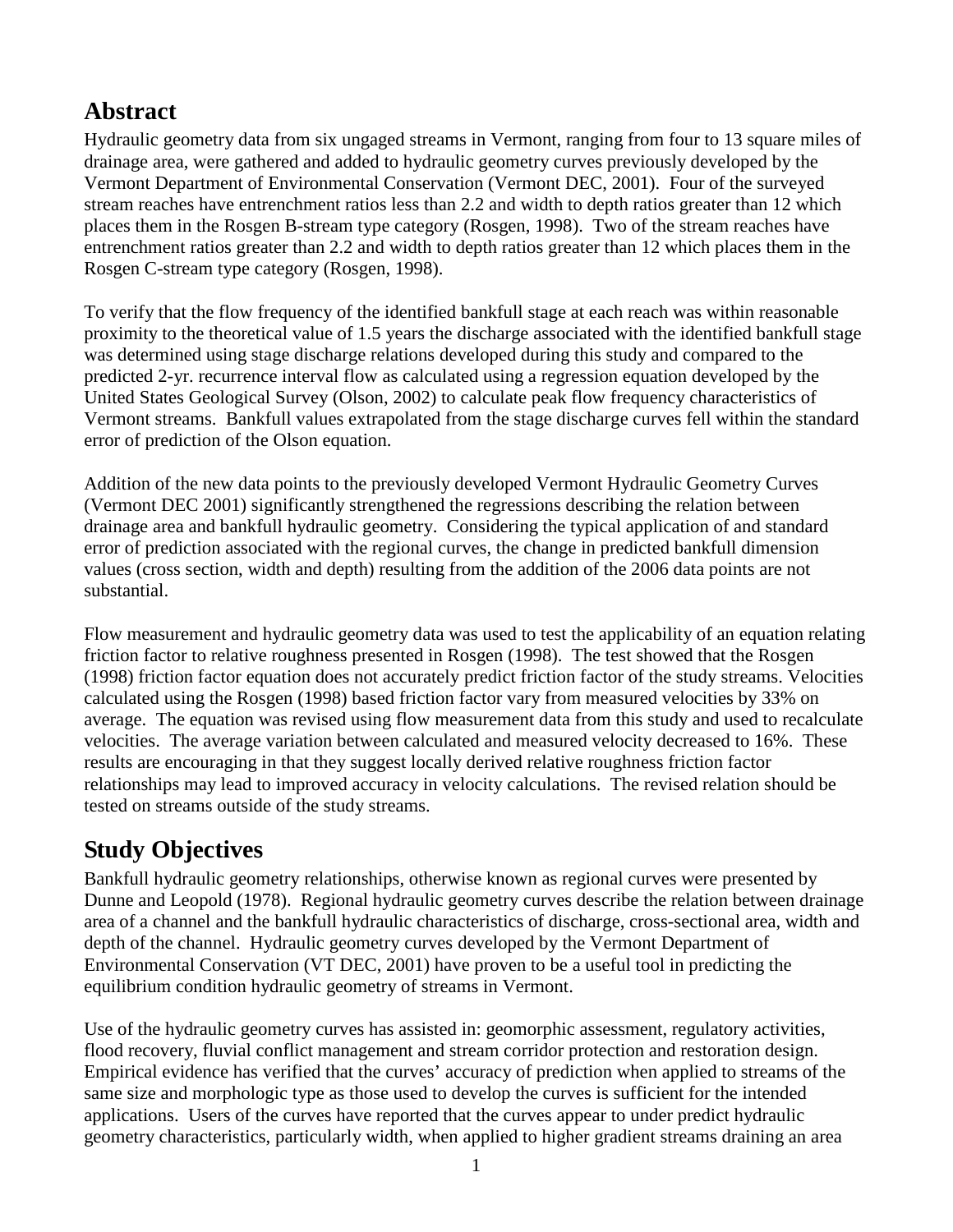### **Abstract**

Hydraulic geometry data from six ungaged streams in Vermont, ranging from four to 13 square miles of drainage area, were gathered and added to hydraulic geometry curves previously developed by the Vermont Department of Environmental Conservation (Vermont DEC, 2001). Four of the surveyed stream reaches have entrenchment ratios less than 2.2 and width to depth ratios greater than 12 which places them in the Rosgen B-stream type category (Rosgen, 1998). Two of the stream reaches have entrenchment ratios greater than 2.2 and width to depth ratios greater than 12 which places them in the Rosgen C-stream type category (Rosgen, 1998).

To verify that the flow frequency of the identified bankfull stage at each reach was within reasonable proximity to the theoretical value of 1.5 years the discharge associated with the identified bankfull stage was determined using stage discharge relations developed during this study and compared to the predicted 2-yr. recurrence interval flow as calculated using a regression equation developed by the United States Geological Survey (Olson, 2002) to calculate peak flow frequency characteristics of Vermont streams. Bankfull values extrapolated from the stage discharge curves fell within the standard error of prediction of the Olson equation.

Addition of the new data points to the previously developed Vermont Hydraulic Geometry Curves (Vermont DEC 2001) significantly strengthened the regressions describing the relation between drainage area and bankfull hydraulic geometry. Considering the typical application of and standard error of prediction associated with the regional curves, the change in predicted bankfull dimension values (cross section, width and depth) resulting from the addition of the 2006 data points are not substantial.

Flow measurement and hydraulic geometry data was used to test the applicability of an equation relating friction factor to relative roughness presented in Rosgen (1998). The test showed that the Rosgen (1998) friction factor equation does not accurately predict friction factor of the study streams. Velocities calculated using the Rosgen (1998) based friction factor vary from measured velocities by 33% on average. The equation was revised using flow measurement data from this study and used to recalculate velocities. The average variation between calculated and measured velocity decreased to 16%. These results are encouraging in that they suggest locally derived relative roughness friction factor relationships may lead to improved accuracy in velocity calculations. The revised relation should be tested on streams outside of the study streams.

### <span id="page-2-0"></span>**Study Objectives**

Bankfull hydraulic geometry relationships, otherwise known as regional curves were presented by Dunne and Leopold (1978). Regional hydraulic geometry curves describe the relation between drainage area of a channel and the bankfull hydraulic characteristics of discharge, cross-sectional area, width and depth of the channel. Hydraulic geometry curves developed by the Vermont Department of Environmental Conservation (VT DEC, 2001) have proven to be a useful tool in predicting the equilibrium condition hydraulic geometry of streams in Vermont.

Use of the hydraulic geometry curves has assisted in: geomorphic assessment, regulatory activities, flood recovery, fluvial conflict management and stream corridor protection and restoration design. Empirical evidence has verified that the curves' accuracy of prediction when applied to streams of the same size and morphologic type as those used to develop the curves is sufficient for the intended applications. Users of the curves have reported that the curves appear to under predict hydraulic geometry characteristics, particularly width, when applied to higher gradient streams draining an area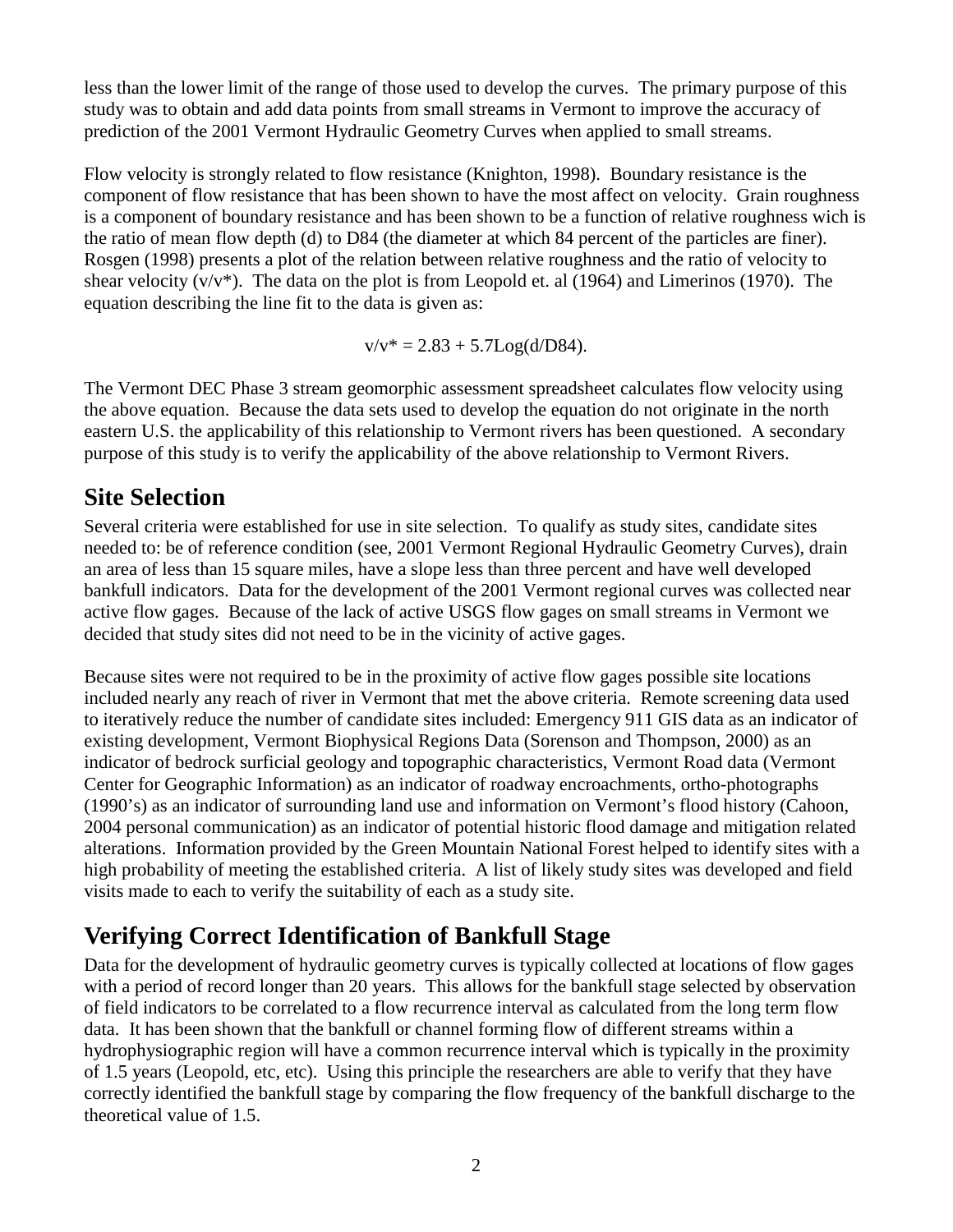less than the lower limit of the range of those used to develop the curves. The primary purpose of this study was to obtain and add data points from small streams in Vermont to improve the accuracy of prediction of the 2001 Vermont Hydraulic Geometry Curves when applied to small streams.

Flow velocity is strongly related to flow resistance (Knighton, 1998). Boundary resistance is the component of flow resistance that has been shown to have the most affect on velocity. Grain roughness is a component of boundary resistance and has been shown to be a function of relative roughness wich is the ratio of mean flow depth (d) to D84 (the diameter at which 84 percent of the particles are finer). Rosgen (1998) presents a plot of the relation between relative roughness and the ratio of velocity to shear velocity  $(v/v^*)$ . The data on the plot is from Leopold et. al (1964) and Limerinos (1970). The equation describing the line fit to the data is given as:

 $v/v^* = 2.83 + 5.7Log(d/DS4).$ 

The Vermont DEC Phase 3 stream geomorphic assessment spreadsheet calculates flow velocity using the above equation. Because the data sets used to develop the equation do not originate in the north eastern U.S. the applicability of this relationship to Vermont rivers has been questioned. A secondary purpose of this study is to verify the applicability of the above relationship to Vermont Rivers.

### <span id="page-3-0"></span>**Site Selection**

Several criteria were established for use in site selection. To qualify as study sites, candidate sites needed to: be of reference condition (see, 2001 Vermont Regional Hydraulic Geometry Curves), drain an area of less than 15 square miles, have a slope less than three percent and have well developed bankfull indicators. Data for the development of the 2001 Vermont regional curves was collected near active flow gages. Because of the lack of active USGS flow gages on small streams in Vermont we decided that study sites did not need to be in the vicinity of active gages.

Because sites were not required to be in the proximity of active flow gages possible site locations included nearly any reach of river in Vermont that met the above criteria. Remote screening data used to iteratively reduce the number of candidate sites included: Emergency 911 GIS data as an indicator of existing development, Vermont Biophysical Regions Data (Sorenson and Thompson, 2000) as an indicator of bedrock surficial geology and topographic characteristics, Vermont Road data (Vermont Center for Geographic Information) as an indicator of roadway encroachments, ortho-photographs (1990's) as an indicator of surrounding land use and information on Vermont's flood history (Cahoon, 2004 personal communication) as an indicator of potential historic flood damage and mitigation related alterations. Information provided by the Green Mountain National Forest helped to identify sites with a high probability of meeting the established criteria. A list of likely study sites was developed and field visits made to each to verify the suitability of each as a study site.

### <span id="page-3-1"></span>**Verifying Correct Identification of Bankfull Stage**

Data for the development of hydraulic geometry curves is typically collected at locations of flow gages with a period of record longer than 20 years. This allows for the bankfull stage selected by observation of field indicators to be correlated to a flow recurrence interval as calculated from the long term flow data. It has been shown that the bankfull or channel forming flow of different streams within a hydrophysiographic region will have a common recurrence interval which is typically in the proximity of 1.5 years (Leopold, etc, etc). Using this principle the researchers are able to verify that they have correctly identified the bankfull stage by comparing the flow frequency of the bankfull discharge to the theoretical value of 1.5.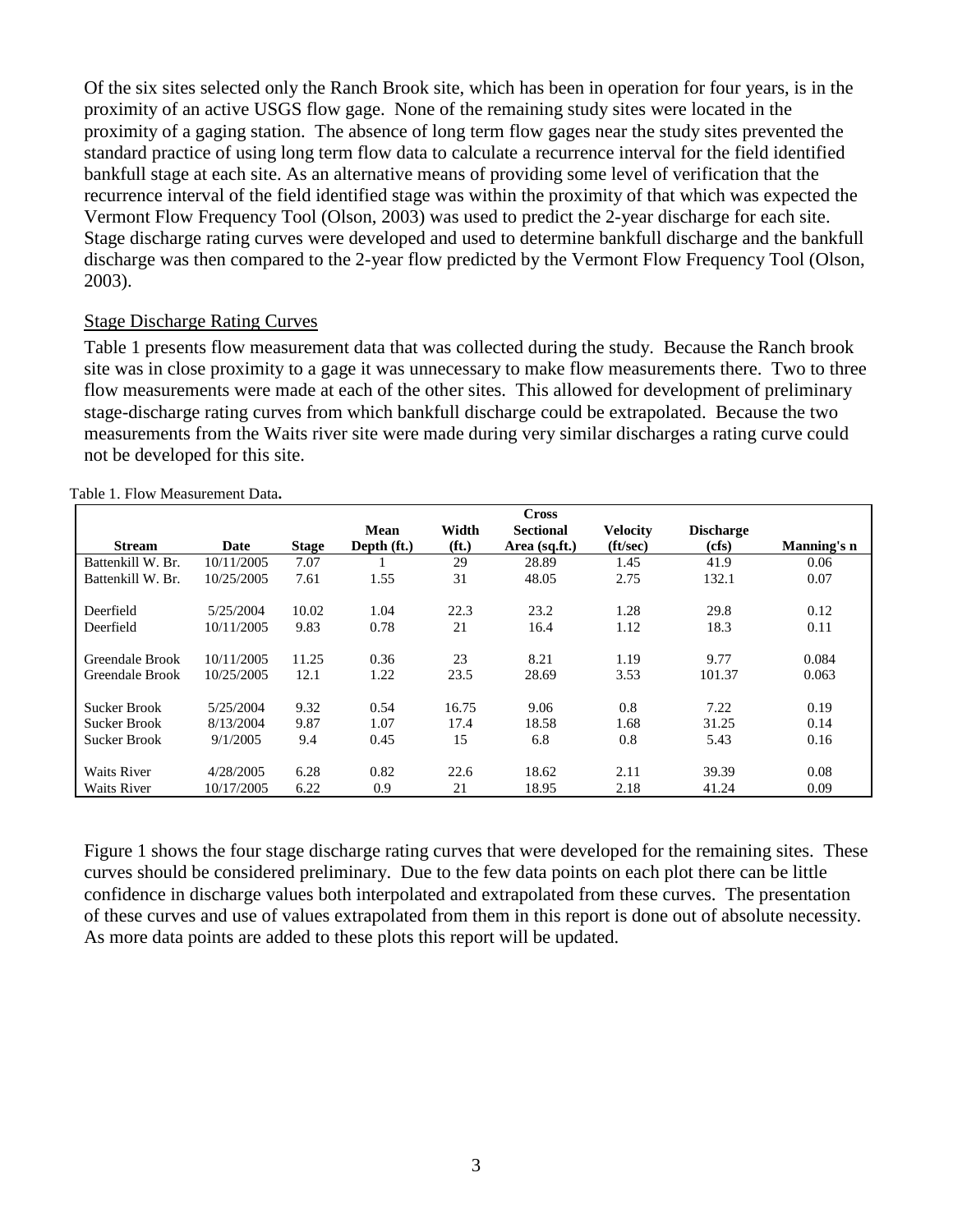Of the six sites selected only the Ranch Brook site, which has been in operation for four years, is in the proximity of an active USGS flow gage. None of the remaining study sites were located in the proximity of a gaging station. The absence of long term flow gages near the study sites prevented the standard practice of using long term flow data to calculate a recurrence interval for the field identified bankfull stage at each site. As an alternative means of providing some level of verification that the recurrence interval of the field identified stage was within the proximity of that which was expected the Vermont Flow Frequency Tool (Olson, 2003) was used to predict the 2-year discharge for each site. Stage discharge rating curves were developed and used to determine bankfull discharge and the bankfull discharge was then compared to the 2-year flow predicted by the Vermont Flow Frequency Tool (Olson, 2003).

#### <span id="page-4-0"></span>Stage Discharge Rating Curves

[Table 1](#page-4-1) presents flow measurement data that was collected during the study. Because the Ranch brook site was in close proximity to a gage it was unnecessary to make flow measurements there. Two to three flow measurements were made at each of the other sites. This allowed for development of preliminary stage-discharge rating curves from which bankfull discharge could be extrapolated. Because the two measurements from the Waits river site were made during very similar discharges a rating curve could not be developed for this site.

<span id="page-4-1"></span>

|                    |            |              |             |                   | <b>Cross</b>     |                 |                  |             |
|--------------------|------------|--------------|-------------|-------------------|------------------|-----------------|------------------|-------------|
|                    |            |              | <b>Mean</b> | Width             | <b>Sectional</b> | <b>Velocity</b> | <b>Discharge</b> |             |
| <b>Stream</b>      | Date       | <b>Stage</b> | Depth (ft.) | (f <sub>t</sub> ) | Area (sq.ft.)    | (ft/sec)        | (cfs)            | Manning's n |
| Battenkill W. Br.  | 10/11/2005 | 7.07         |             | 29                | 28.89            | 1.45            | 41.9             | 0.06        |
| Battenkill W. Br.  | 10/25/2005 | 7.61         | 1.55        | 31                | 48.05            | 2.75            | 132.1            | 0.07        |
| Deerfield          | 5/25/2004  | 10.02        | 1.04        | 22.3              | 23.2             | 1.28            | 29.8             | 0.12        |
| Deerfield          | 10/11/2005 | 9.83         | 0.78        | 21                | 16.4             | 1.12            | 18.3             | 0.11        |
| Greendale Brook    | 10/11/2005 | 11.25        | 0.36        | 23                | 8.21             | 1.19            | 9.77             | 0.084       |
| Greendale Brook    | 10/25/2005 | 12.1         | 1.22        | 23.5              | 28.69            | 3.53            | 101.37           | 0.063       |
| Sucker Brook       | 5/25/2004  | 9.32         | 0.54        | 16.75             | 9.06             | 0.8             | 7.22             | 0.19        |
| Sucker Brook       | 8/13/2004  | 9.87         | 1.07        | 17.4              | 18.58            | 1.68            | 31.25            | 0.14        |
| Sucker Brook       | 9/1/2005   | 9.4          | 0.45        | 15                | 6.8              | 0.8             | 5.43             | 0.16        |
| <b>Waits River</b> | 4/28/2005  | 6.28         | 0.82        | 22.6              | 18.62            | 2.11            | 39.39            | 0.08        |
| <b>Waits River</b> | 10/17/2005 | 6.22         | 0.9         | 21                | 18.95            | 2.18            | 41.24            | 0.09        |

Table 1. Flow Measurement Data**.**

[Figure 1](#page-5-1) shows the four stage discharge rating curves that were developed for the remaining sites. These curves should be considered preliminary. Due to the few data points on each plot there can be little confidence in discharge values both interpolated and extrapolated from these curves. The presentation of these curves and use of values extrapolated from them in this report is done out of absolute necessity. As more data points are added to these plots this report will be updated.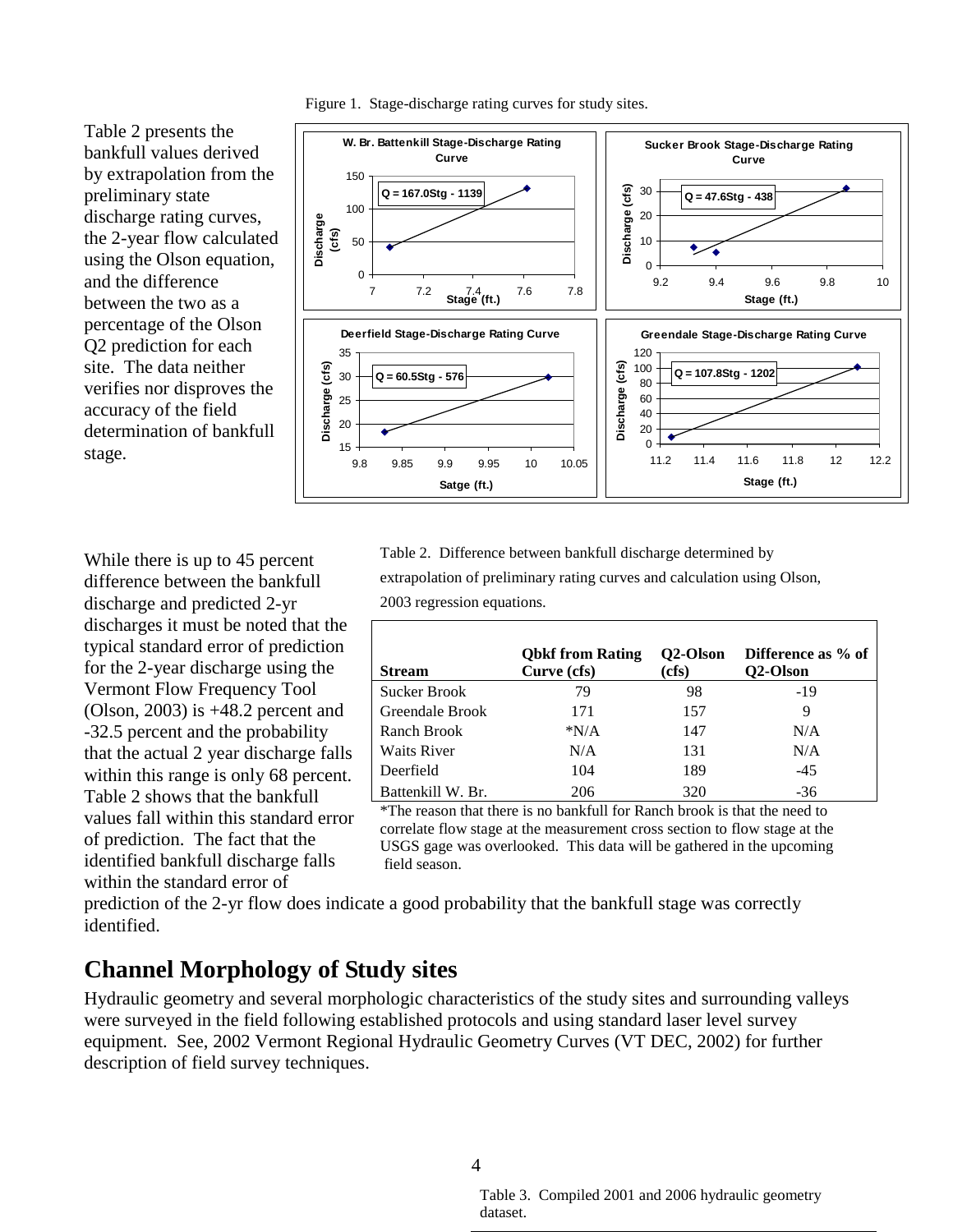

<span id="page-5-1"></span>Figure 1. Stage-discharge rating curves for study sites.

While there is up to 45 percent difference between the bankfull discharge and predicted 2-yr discharges it must be noted that the typical standard error of prediction for the 2-year discharge using the Vermont Flow Frequency Tool (Olson, 2003) is +48.2 percent and -32.5 percent and the probability that the actual 2 year discharge falls within this range is only 68 percent. [Table 2](#page-5-2) shows that the bankfull values fall within this standard error of prediction. The fact that the identified bankfull discharge falls within the standard error of

[Table 2](#page-5-2) presents the bankfull values derived

preliminary state

and the difference between the two as a percentage of the Olson Q2 prediction for each site. The data neither

accuracy of the field

stage.

discharge rating curves,

<span id="page-5-2"></span>Table 2. Difference between bankfull discharge determined by

extrapolation of preliminary rating curves and calculation using Olson,

2003 regression equations.

| <b>Stream</b>      | <b>Obkf</b> from Rating<br>Curve (cfs) | Q2-Olson<br>(cfs) | Difference as % of<br>O <sub>2</sub> -Olson |
|--------------------|----------------------------------------|-------------------|---------------------------------------------|
| Sucker Brook       | 79                                     | 98                | -19                                         |
| Greendale Brook    | 171                                    | 157               | 9                                           |
| Ranch Brook        | $*N/A$                                 | 147               | N/A                                         |
| <b>Waits River</b> | N/A                                    | 131               | N/A                                         |
| Deerfield          | 104                                    | 189               | $-45$                                       |
| Battenkill W. Br.  | 206                                    | 320               | $-36$                                       |

<span id="page-5-3"></span>\*The reason that there is no bankfull for Ranch brook is that the need to correlate flow stage at the measurement cross section to flow stage at the USGS gage was overlooked. This data will be gathered in the upcoming field season.

prediction of the 2-yr flow does indicate a good probability that the bankfull stage was correctly identified.

### <span id="page-5-0"></span>**Channel Morphology of Study sites**

Hydraulic geometry and several morphologic characteristics of the study sites and surrounding valleys were surveyed in the field following established protocols and using standard laser level survey equipment. See, 2002 Vermont Regional Hydraulic Geometry Curves (VT DEC, 2002) for further description of field survey techniques.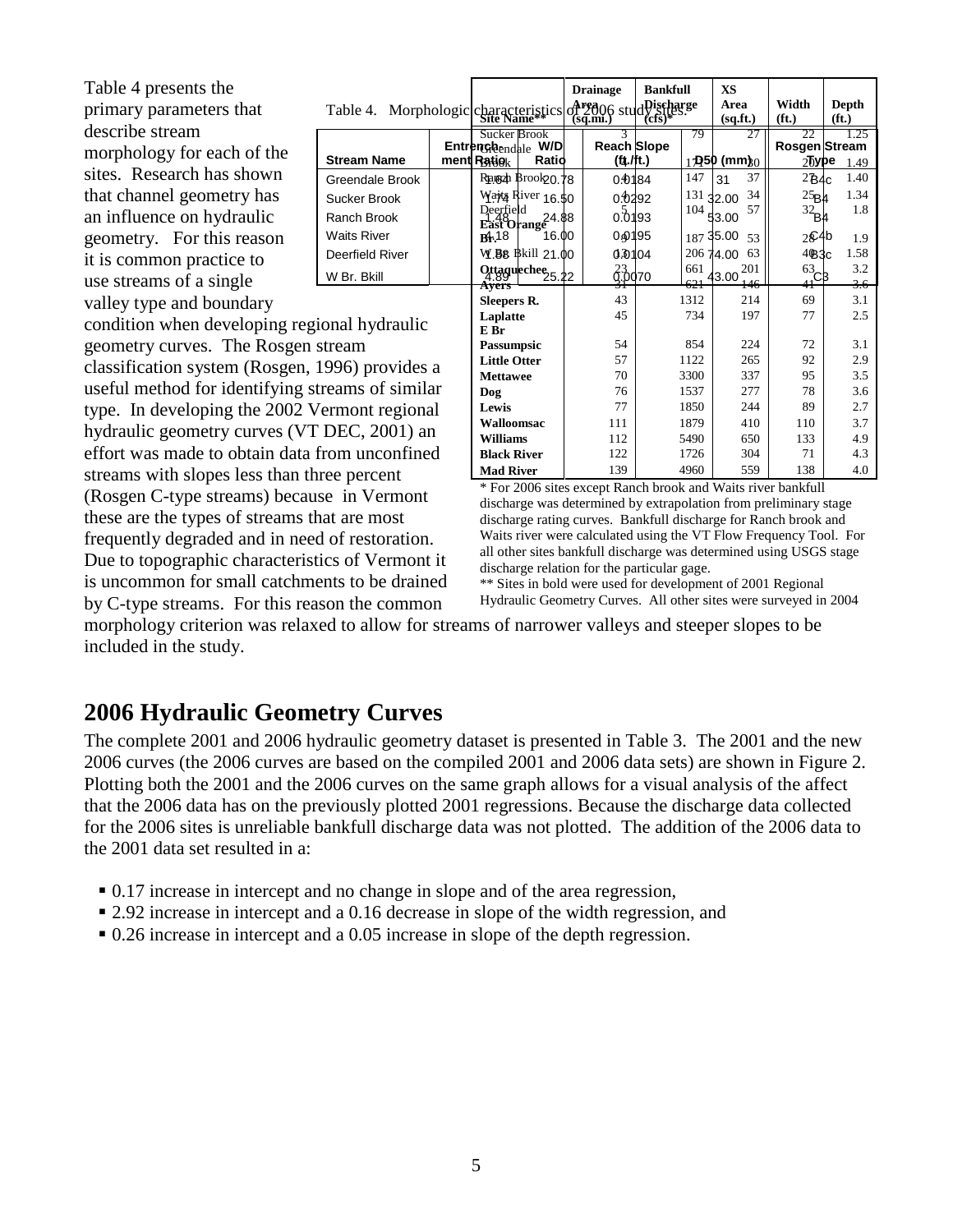<span id="page-6-1"></span>

| Table 4 presents the                             |                                                            |  |                                                   |                                         | <b>Drainage</b>                     | <b>Bankfull</b> |              | <b>XS</b>              |                                       |                            |
|--------------------------------------------------|------------------------------------------------------------|--|---------------------------------------------------|-----------------------------------------|-------------------------------------|-----------------|--------------|------------------------|---------------------------------------|----------------------------|
| primary parameters that                          | Table 4. Morphologic characteristics of 2006 studDischarge |  |                                                   |                                         |                                     |                 |              | Area<br>(sq.fit.)      | Width<br>(f <sub>t</sub> )            | Depth<br>(f <sub>t</sub> ) |
| describe stream                                  |                                                            |  | Sucker Brook                                      |                                         |                                     |                 | 79           |                        | 22                                    | 1.25                       |
| morphology for each of the                       | <b>Stream Name</b>                                         |  | <b>Entrengle</b> <sub>endale</sub><br>ment Ratiok | W/D<br>Ratio                            | <b>Reach Slope</b><br>$(t_1$ ./ft.) |                 |              | $1$ D50 (mm) $\alpha$  | Rosgen Stream<br>$2$ hype             |                            |
| sites. Research has shown                        | Greendale Brook                                            |  |                                                   | Rangah Brook 20.78                      | 0.0184                              |                 | 147          | 37<br>31               | 2B4c                                  | 1.49<br>1.40               |
| that channel geometry has                        | Sucker Brook                                               |  |                                                   | Wajta River 16.50                       | 0.0292                              |                 | 131          | 34<br>32.00            | 25B4                                  | 1.34                       |
| an influence on hydraulic                        | Ranch Brook                                                |  |                                                   | Deerfield<br>East Orange<br>East Orange | 0.0193                              |                 | 104          | 57<br>53.00            | $32_{B4}$                             | 1.8                        |
|                                                  | <b>Waits River</b>                                         |  |                                                   | 16.00                                   | 040195                              |                 |              | 187 35.00              |                                       |                            |
| geometry. For this reason                        | Deerfield River                                            |  | B4.18                                             | W.B8 Bkill 21.00                        | 0.0104                              |                 |              | 53<br>206 74.00<br>-63 | 2 <sup>6</sup> 4 <sup>b</sup><br>4@3c | 1.9<br>1.58                |
| it is common practice to                         |                                                            |  |                                                   | Ottaguechee <sub>25.22</sub>            |                                     |                 | 661          |                        |                                       | 3.2                        |
| use streams of a single                          | W Br. Bkill                                                |  | Avers                                             |                                         | $\overset{23}{\text{Q}}$ .0070      |                 | 621          | $43.00^{201}$<br>146   | $\frac{63}{41}CB$                     | 3.6                        |
| valley type and boundary                         |                                                            |  | <b>Sleepers R.</b>                                |                                         | 43                                  |                 | 1312         | 214                    | 69                                    | 3.1                        |
| condition when developing regional hydraulic     |                                                            |  | Laplatte                                          |                                         | 45                                  |                 | 734          | 197                    | 77                                    | 2.5                        |
| geometry curves. The Rosgen stream               |                                                            |  | E Br<br><b>Passumpsic</b>                         |                                         | 54                                  |                 | 854          | 224                    | 72                                    | 3.1                        |
|                                                  |                                                            |  | <b>Little Otter</b>                               |                                         | 57                                  |                 | 1122         | 265                    | 92                                    | 2.9                        |
| classification system (Rosgen, 1996) provides a  |                                                            |  | <b>Mettawee</b>                                   |                                         | 70                                  |                 | 3300         | 337                    | 95                                    | 3.5                        |
| useful method for identifying streams of similar |                                                            |  | Dog                                               |                                         | 76                                  |                 | 1537         | 277                    | 78                                    | 3.6                        |
| type. In developing the 2002 Vermont regional    |                                                            |  |                                                   |                                         | 77                                  |                 | 1850         | 244                    | 89                                    | 2.7                        |
| hydraulic geometry curves (VT DEC, 2001) an      |                                                            |  |                                                   | Walloomsac                              | 111<br>112                          |                 | 1879         | 410<br>650             | 110<br>133                            | 3.7<br>4.9                 |
| effort was made to obtain data from unconfined   |                                                            |  | Williams<br><b>Black River</b>                    |                                         | 122                                 |                 | 5490<br>1726 | 304                    | 71                                    | 4.3                        |
| streams with slopes less than three percent      |                                                            |  | <b>Mad River</b>                                  |                                         | 139                                 |                 | 4960         | 559                    | 138                                   | 4.0                        |

\* For 2006 sites except Ranch brook and Waits river bankfull discharge was determined by extrapolation from preliminary stage discharge rating curves. Bankfull discharge for Ranch brook and Waits river were calculated using the VT Flow Frequency Tool. For all other sites bankfull discharge was determined using USGS stage discharge relation for the particular gage.

\*\* Sites in bold were used for development of 2001 Regional Hydraulic Geometry Curves. All other sites were surveyed in 2004

morphology criterion was relaxed to allow for streams of narrower valleys and steeper slopes to be included in the study.

### <span id="page-6-0"></span>**2006 Hydraulic Geometry Curves**

streams with slopes less than three percent (Rosgen C-type streams) because in Vermont these are the types of streams that are most frequently degraded and in need of restoration. Due to topographic characteristics of Vermont it is uncommon for small catchments to be drained by C-type streams. For this reason the common

The complete 2001 and 2006 hydraulic geometry dataset is presented in [Table 3.](#page-5-3) The 2001 and the new 2006 curves (the 2006 curves are based on the compiled 2001 and 2006 data sets) are shown in [Figure 2.](#page-7-0) Plotting both the 2001 and the 2006 curves on the same graph allows for a visual analysis of the affect that the 2006 data has on the previously plotted 2001 regressions. Because the discharge data collected for the 2006 sites is unreliable bankfull discharge data was not plotted. The addition of the 2006 data to the 2001 data set resulted in a:

- 0.17 increase in intercept and no change in slope and of the area regression,
- 2.92 increase in intercept and a 0.16 decrease in slope of the width regression, and
- 0.26 increase in intercept and a 0.05 increase in slope of the depth regression.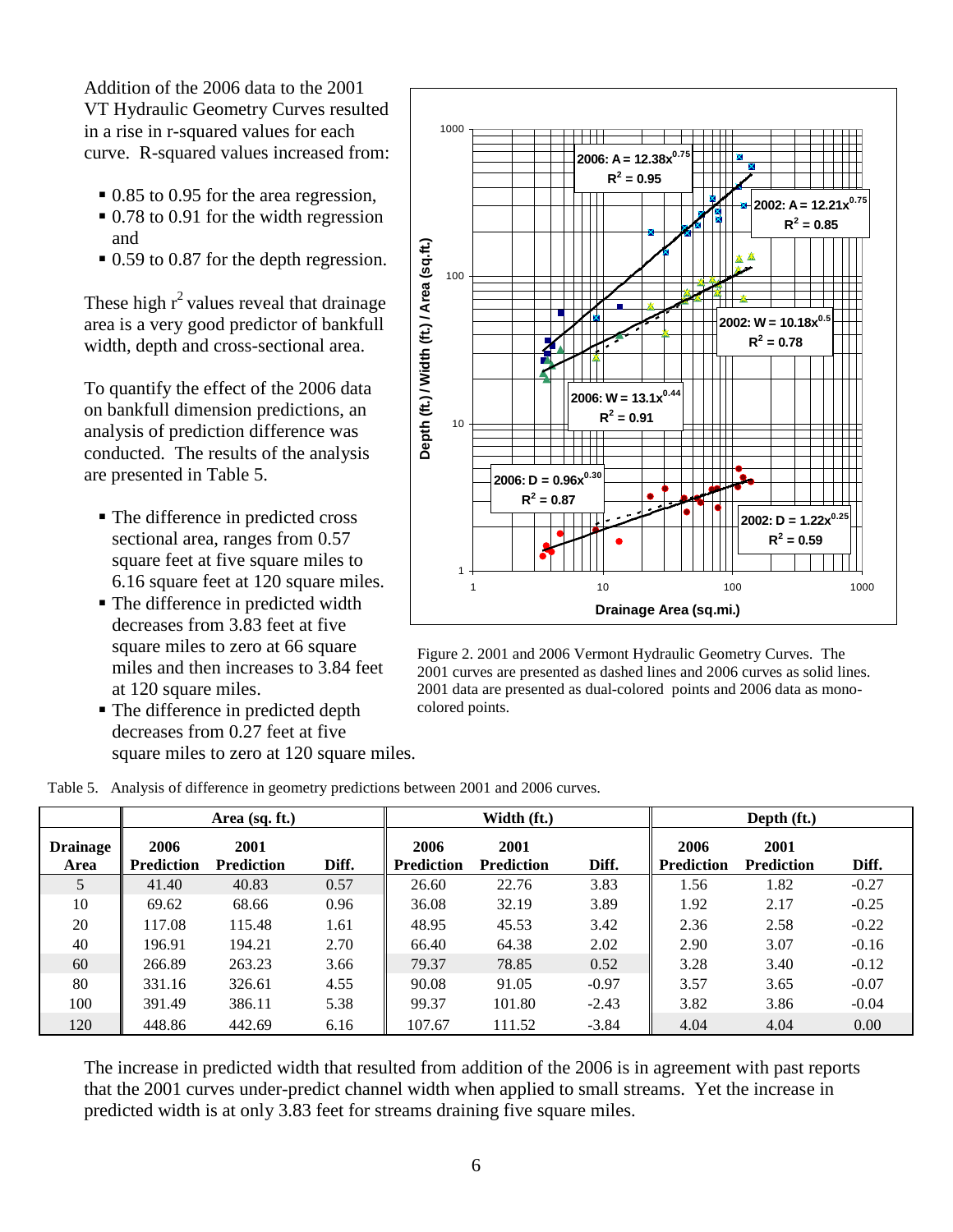Addition of the 2006 data to the 2001 VT Hydraulic Geometry Curves resulted in a rise in r-squared values for each curve. R-squared values increased from:

- 0.85 to 0.95 for the area regression,
- $\approx 0.78$  to 0.91 for the width regression and
- 0.59 to 0.87 for the depth regression.

These high  $r^2$  values reveal that drainage area is a very good predictor of bankfull width, depth and cross-sectional area.

To quantify the effect of the 2006 data on bankfull dimension predictions, an analysis of prediction difference was conducted. The results of the analysis are presented in [Table 5.](#page-7-1)

- The difference in predicted cross sectional area, ranges from 0.57 square feet at five square miles to 6.16 square feet at 120 square miles.
- The difference in predicted width decreases from 3.83 feet at five square miles to zero at 66 square miles and then increases to 3.84 feet at 120 square miles.
- The difference in predicted depth decreases from 0.27 feet at five square miles to zero at 120 square miles.



<span id="page-7-0"></span>Figure 2. 2001 and 2006 Vermont Hydraulic Geometry Curves. The 2001 curves are presented as dashed lines and 2006 curves as solid lines. 2001 data are presented as dual-colored points and 2006 data as monocolored points.

<span id="page-7-1"></span>

|  |  |  | Table 5. Analysis of difference in geometry predictions between 2001 and 2006 curves. |
|--|--|--|---------------------------------------------------------------------------------------|
|  |  |  |                                                                                       |

|                         | Area $(sq. ft.)$          |                           |       | Width (ft.)               |                           |         | Depth (ft.)               |                           |         |
|-------------------------|---------------------------|---------------------------|-------|---------------------------|---------------------------|---------|---------------------------|---------------------------|---------|
| <b>Drainage</b><br>Area | 2006<br><b>Prediction</b> | 2001<br><b>Prediction</b> | Diff. | 2006<br><b>Prediction</b> | 2001<br><b>Prediction</b> | Diff.   | 2006<br><b>Prediction</b> | 2001<br><b>Prediction</b> | Diff.   |
| 5                       | 41.40                     | 40.83                     | 0.57  | 26.60                     | 22.76                     | 3.83    | 1.56                      | 1.82                      | $-0.27$ |
| 10                      | 69.62                     | 68.66                     | 0.96  | 36.08                     | 32.19                     | 3.89    | 1.92                      | 2.17                      | $-0.25$ |
| 20                      | 117.08                    | 115.48                    | 1.61  | 48.95                     | 45.53                     | 3.42    | 2.36                      | 2.58                      | $-0.22$ |
| 40                      | 196.91                    | 194.21                    | 2.70  | 66.40                     | 64.38                     | 2.02    | 2.90                      | 3.07                      | $-0.16$ |
| 60                      | 266.89                    | 263.23                    | 3.66  | 79.37                     | 78.85                     | 0.52    | 3.28                      | 3.40                      | $-0.12$ |
| 80                      | 331.16                    | 326.61                    | 4.55  | 90.08                     | 91.05                     | $-0.97$ | 3.57                      | 3.65                      | $-0.07$ |
| 100                     | 391.49                    | 386.11                    | 5.38  | 99.37                     | 101.80                    | $-2.43$ | 3.82                      | 3.86                      | $-0.04$ |
| 120                     | 448.86                    | 442.69                    | 6.16  | 107.67                    | 111.52                    | $-3.84$ | 4.04                      | 4.04                      | 0.00    |

The increase in predicted width that resulted from addition of the 2006 is in agreement with past reports that the 2001 curves under-predict channel width when applied to small streams. Yet the increase in predicted width is at only 3.83 feet for streams draining five square miles.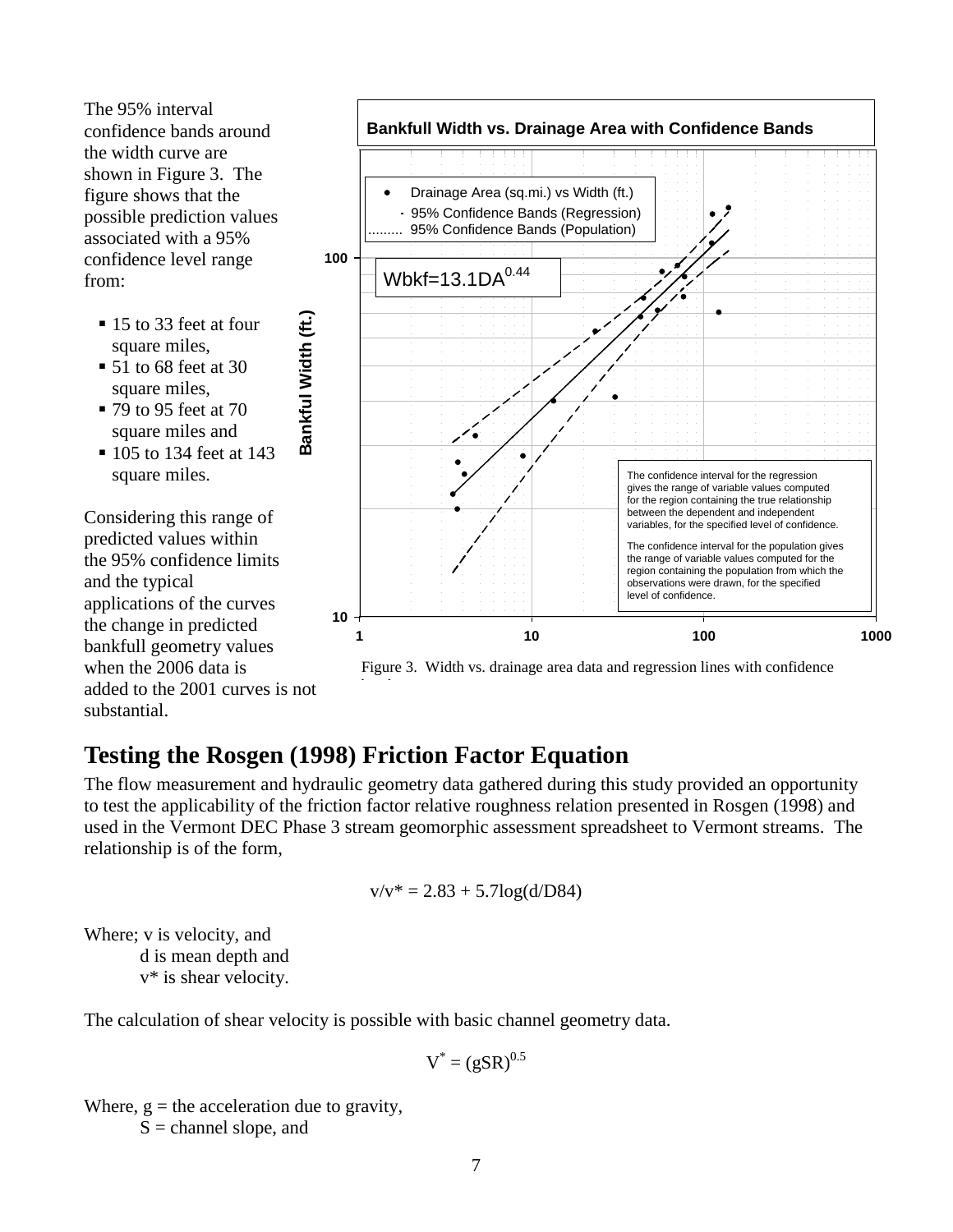The 95% interval confidence bands around the width curve are shown in [Figure 3.](#page-8-1) The figure shows that the possible prediction values associated with a 95% confidence level range from:

- 15 to 33 feet at four square miles,
- $\blacksquare$  51 to 68 feet at 30 square miles,
- 79 to 95 feet at 70 square miles and
- **105 to 134 feet at 143** square miles.

Considering this range of predicted values within the 95% confidence limits and the typical applications of the curves the change in predicted bankfull geometry values when the 2006 data is added to the 2001 curves is not substantial.



<span id="page-8-1"></span>Figure 3. Width vs. drainage area data and regression lines with confidence

### <span id="page-8-0"></span>**Testing the Rosgen (1998) Friction Factor Equation**

b d

**Bankful Width (ft.)**

Bankful Width (ft.)

The flow measurement and hydraulic geometry data gathered during this study provided an opportunity to test the applicability of the friction factor relative roughness relation presented in Rosgen (1998) and used in the Vermont DEC Phase 3 stream geomorphic assessment spreadsheet to Vermont streams. The relationship is of the form,

$$
v/v^* = 2.83 + 5.7\log(d/D84)
$$

Where; v is velocity, and d is mean depth and v\* is shear velocity.

The calculation of shear velocity is possible with basic channel geometry data.

$$
V^* = (gSR)^{0.5}
$$

Where,  $g =$  the acceleration due to gravity,  $S =$ channel slope, and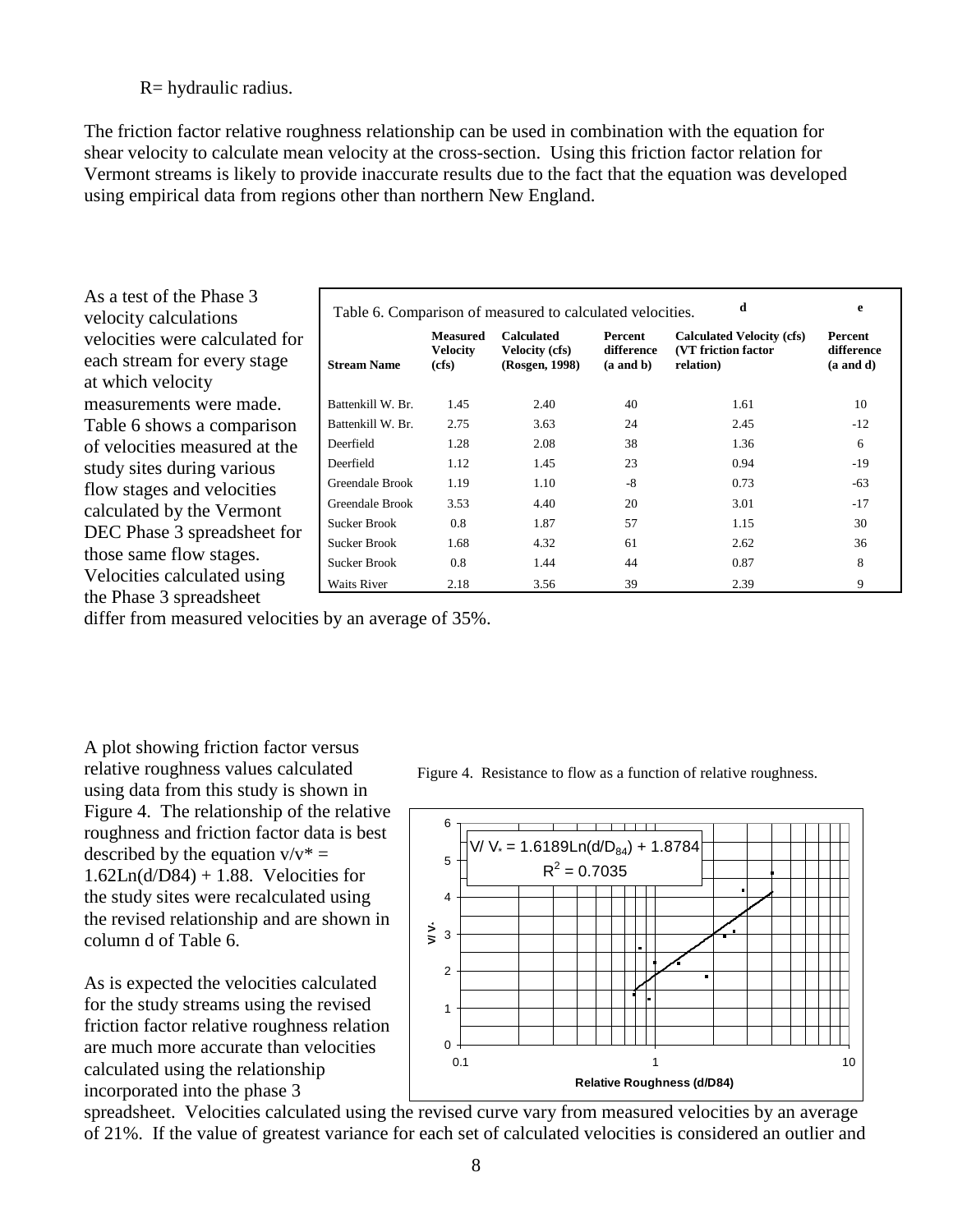#### R= hydraulic radius.

The friction factor relative roughness relationship can be used in combination with the equation for shear velocity to calculate mean velocity at the cross-section. Using this friction factor relation for Vermont streams is likely to provide inaccurate results due to the fact that the equation was developed using empirical data from regions other than northern New England.

| As a test of the Phase 3<br>velocity calculations                                  | d<br>Table 6. Comparison of measured to calculated velocities. |                                             |                                                              |                                        |                                                                              |                                               |  |  |
|------------------------------------------------------------------------------------|----------------------------------------------------------------|---------------------------------------------|--------------------------------------------------------------|----------------------------------------|------------------------------------------------------------------------------|-----------------------------------------------|--|--|
| velocities were calculated for<br>each stream for every stage<br>at which velocity | <b>Stream Name</b>                                             | <b>Measured</b><br><b>Velocity</b><br>(cfs) | <b>Calculated</b><br><b>Velocity (cfs)</b><br>(Rosgen, 1998) | Percent<br>difference<br>$(a$ and $b)$ | <b>Calculated Velocity (cfs)</b><br><b>(VT friction factor)</b><br>relation) | Percent<br>difference<br>$(a \text{ and } d)$ |  |  |
| measurements were made.                                                            | Battenkill W. Br.                                              | 1.45                                        | 2.40                                                         | 40                                     | 1.61                                                                         | 10                                            |  |  |
| Table 6 shows a comparison                                                         | Battenkill W. Br.                                              | 2.75                                        | 3.63                                                         | 24                                     | 2.45                                                                         | $-12$                                         |  |  |
| of velocities measured at the                                                      | Deerfield                                                      | 1.28                                        | 2.08                                                         | 38                                     | 1.36                                                                         | 6                                             |  |  |
| study sites during various                                                         | Deerfield                                                      | 1.12                                        | 1.45                                                         | 23                                     | 0.94                                                                         | $-19$                                         |  |  |
| flow stages and velocities                                                         | Greendale Brook                                                | 1.19                                        | 1.10                                                         | $-8$                                   | 0.73                                                                         | $-63$                                         |  |  |
| calculated by the Vermont                                                          | Greendale Brook                                                | 3.53                                        | 4.40                                                         | 20                                     | 3.01                                                                         | $-17$                                         |  |  |
| DEC Phase 3 spreadsheet for                                                        | <b>Sucker Brook</b>                                            | 0.8                                         | 1.87                                                         | 57                                     | 1.15                                                                         | 30                                            |  |  |
|                                                                                    | <b>Sucker Brook</b>                                            | 1.68                                        | 4.32                                                         | 61                                     | 2.62                                                                         | 36                                            |  |  |
| those same flow stages.                                                            | <b>Sucker Brook</b>                                            | 0.8                                         | 1.44                                                         | 44                                     | 0.87                                                                         | 8                                             |  |  |
| Velocities calculated using                                                        | Waits River                                                    | 2.18                                        | 3.56                                                         | 39                                     | 2.39                                                                         | 9                                             |  |  |
| the Phase 3 spreadsheet                                                            |                                                                |                                             |                                                              |                                        |                                                                              |                                               |  |  |

differ from measured velocities by an average of 35%.

A plot showing friction factor versus relative roughness values calculated using data from this study is shown in [Figure 4.](#page-9-0) The relationship of the relative roughness and friction factor data is best described by the equation  $v/v^* =$  $1.62Ln(d/D84) + 1.88$ . Velocities for the study sites were recalculated using the revised relationship and are shown in column d of Table 6.

As is expected the velocities calculated for the study streams using the revised friction factor relative roughness relation are much more accurate than velocities calculated using the relationship incorporated into the phase 3

<span id="page-9-0"></span>Figure 4. Resistance to flow as a function of relative roughness.



spreadsheet. Velocities calculated using the revised curve vary from measured velocities by an average of 21%. If the value of greatest variance for each set of calculated velocities is considered an outlier and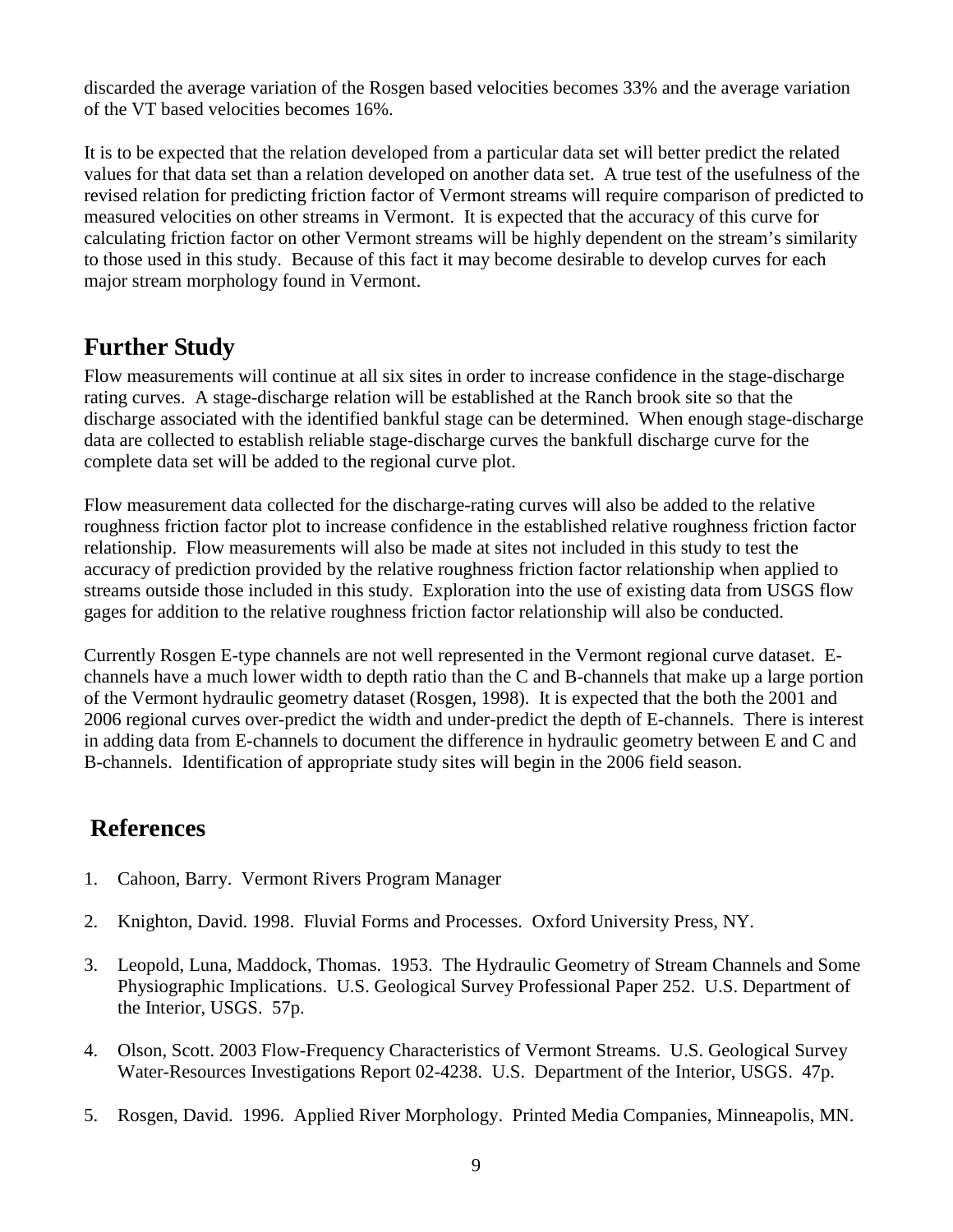discarded the average variation of the Rosgen based velocities becomes 33% and the average variation of the VT based velocities becomes 16%.

It is to be expected that the relation developed from a particular data set will better predict the related values for that data set than a relation developed on another data set. A true test of the usefulness of the revised relation for predicting friction factor of Vermont streams will require comparison of predicted to measured velocities on other streams in Vermont. It is expected that the accuracy of this curve for calculating friction factor on other Vermont streams will be highly dependent on the stream's similarity to those used in this study. Because of this fact it may become desirable to develop curves for each major stream morphology found in Vermont.

### <span id="page-10-0"></span>**Further Study**

Flow measurements will continue at all six sites in order to increase confidence in the stage-discharge rating curves. A stage-discharge relation will be established at the Ranch brook site so that the discharge associated with the identified bankful stage can be determined. When enough stage-discharge data are collected to establish reliable stage-discharge curves the bankfull discharge curve for the complete data set will be added to the regional curve plot.

Flow measurement data collected for the discharge-rating curves will also be added to the relative roughness friction factor plot to increase confidence in the established relative roughness friction factor relationship. Flow measurements will also be made at sites not included in this study to test the accuracy of prediction provided by the relative roughness friction factor relationship when applied to streams outside those included in this study. Exploration into the use of existing data from USGS flow gages for addition to the relative roughness friction factor relationship will also be conducted.

Currently Rosgen E-type channels are not well represented in the Vermont regional curve dataset. Echannels have a much lower width to depth ratio than the C and B-channels that make up a large portion of the Vermont hydraulic geometry dataset (Rosgen, 1998). It is expected that the both the 2001 and 2006 regional curves over-predict the width and under-predict the depth of E-channels. There is interest in adding data from E-channels to document the difference in hydraulic geometry between E and C and B-channels. Identification of appropriate study sites will begin in the 2006 field season.

### <span id="page-10-1"></span>**References**

- 1. Cahoon, Barry. Vermont Rivers Program Manager
- 2. Knighton, David. 1998. Fluvial Forms and Processes. Oxford University Press, NY.
- 3. Leopold, Luna, Maddock, Thomas. 1953. The Hydraulic Geometry of Stream Channels and Some Physiographic Implications. U.S. Geological Survey Professional Paper 252. U.S. Department of the Interior, USGS. 57p.
- 4. Olson, Scott. 2003 Flow-Frequency Characteristics of Vermont Streams. U.S. Geological Survey Water-Resources Investigations Report 02-4238. U.S. Department of the Interior, USGS. 47p.
- 5. Rosgen, David. 1996. Applied River Morphology. Printed Media Companies, Minneapolis, MN.